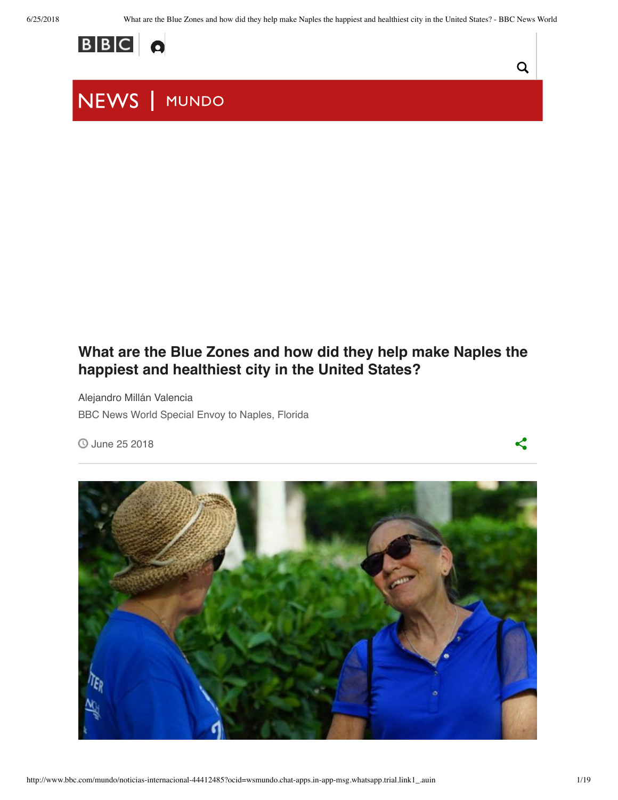$\mathsf Q$ 

 $\leq$ 



## NEWS | MUNDO

### **What are the Blue Zones and how did they help make Naples the happiest and healthiest city in the United States?**

Alejandro Millán Valencia BBC News World Special Envoy to Naples, Florida

June 25 2018

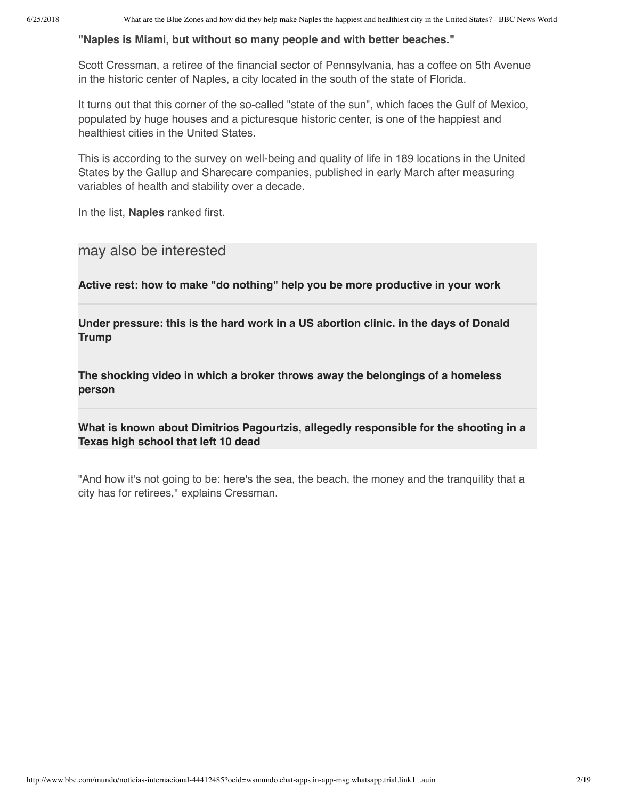#### **"Naples is Miami, but without so many people and with better beaches."**

Scott Cressman, a retiree of the financial sector of Pennsylvania, has a coffee on 5th Avenue in the historic center of Naples, a city located in the south of the state of Florida.

It turns out that this corner of the so-called "state of the sun", which faces the Gulf of Mexico, populated by huge houses and a picturesque historic center, is one of the happiest and healthiest cities in the United States.

This is according to the survey on well-being and quality of life in 189 locations in the United States by the Gallup and Sharecare companies, published in early March after measuring variables of health and stability over a decade.

In the list, **Naples** ranked first.

may also be interested

**Active rest: how to make "do nothing" help you be more productive in your work**

**Under pressure: this is the hard work in a US abortion clinic. in the days of Donald Trump**

**The shocking video in which a broker throws away the belongings of a homeless person**

**What is known about Dimitrios Pagourtzis, allegedly responsible for the shooting in a Texas high school that left 10 dead**

"And how it's not going to be: here's the sea, the beach, the money and the tranquility that a city has for retirees," explains Cressman.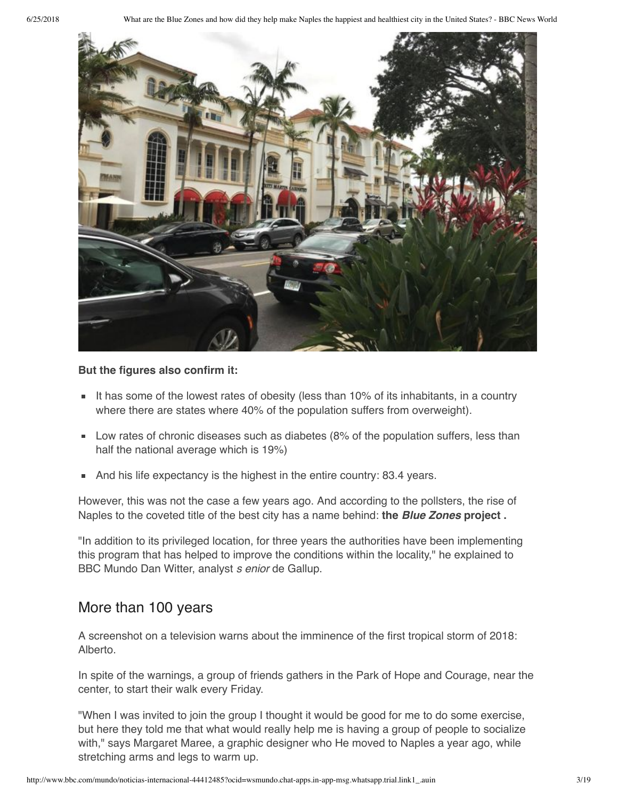

#### **But the figures also confirm it:**

- It has some of the lowest rates of obesity (less than  $10\%$  of its inhabitants, in a country where there are states where 40% of the population suffers from overweight).
- **Low rates of chronic diseases such as diabetes (8% of the population suffers, less than** half the national average which is 19%)
- And his life expectancy is the highest in the entire country: 83.4 years.

However, this was not the case a few years ago. And according to the pollsters, the rise of Naples to the coveted title of the best city has a name behind: **the Blue Zones project .**

"In addition to its privileged location, for three years the authorities have been implementing this program that has helped to improve the conditions within the locality," he explained to BBC Mundo Dan Witter, analyst s enior de Gallup.

#### More than 100 years

A screenshot on a television warns about the imminence of the first tropical storm of 2018: Alberto.

In spite of the warnings, a group of friends gathers in the Park of Hope and Courage, near the center, to start their walk every Friday.

"When I was invited to join the group I thought it would be good for me to do some exercise, but here they told me that what would really help me is having a group of people to socialize with," says Margaret Maree, a graphic designer who He moved to Naples a year ago, while stretching arms and legs to warm up.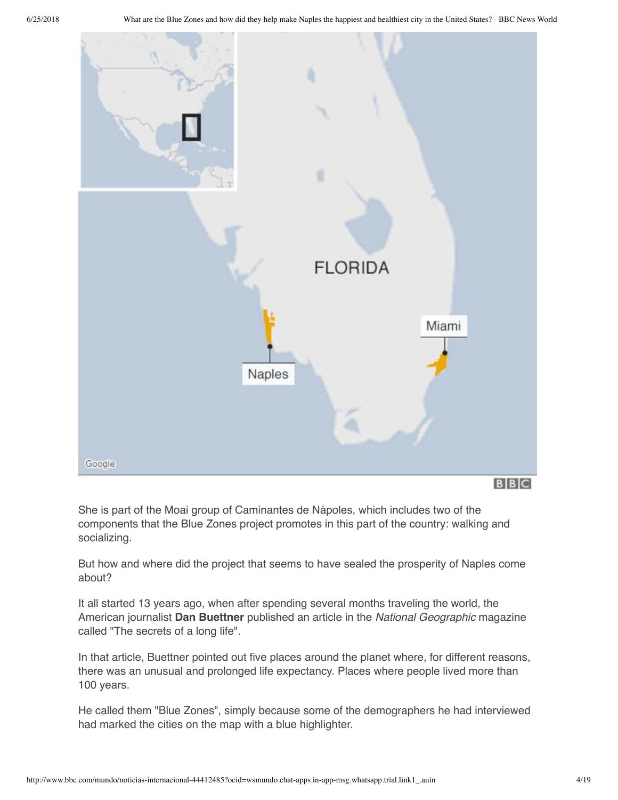

She is part of the Moai group of Caminantes de Nápoles, which includes two of the components that the Blue Zones project promotes in this part of the country: walking and socializing.

But how and where did the project that seems to have sealed the prosperity of Naples come about?

It all started 13 years ago, when after spending several months traveling the world, the American journalist **Dan Buettner** published an article in the National Geographic magazine called "The secrets of a long life".

In that article, Buettner pointed out five places around the planet where, for different reasons, there was an unusual and prolonged life expectancy. Places where people lived more than 100 years.

He called them "Blue Zones", simply because some of the demographers he had interviewed had marked the cities on the map with a blue highlighter.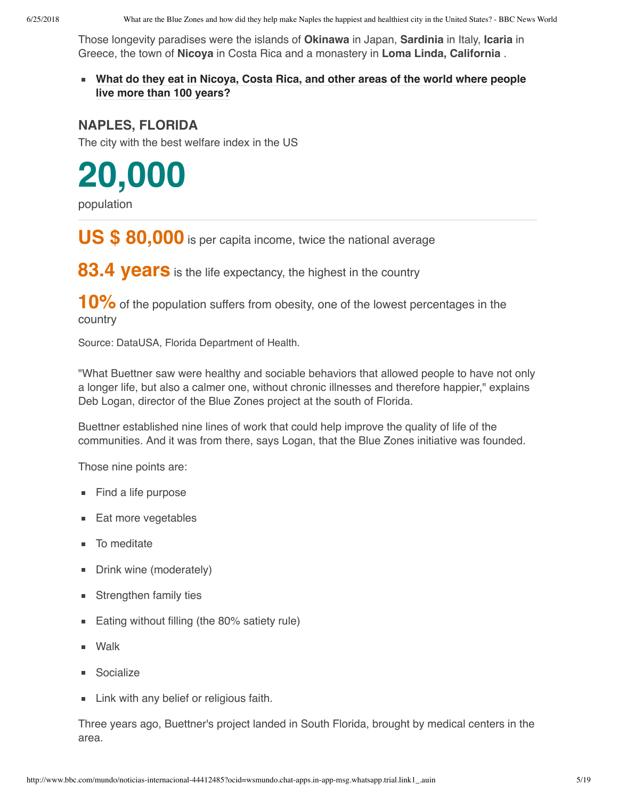Those longevity paradises were the islands of **Okinawa** in Japan, **Sardinia** in Italy, **Icaria** in Greece, the town of **Nicoya** in Costa Rica and a monastery in **Loma Linda, California** .

**What do they eat in Nicoya, Costa Rica, and other areas of the world where people live more than 100 years?**

#### **NAPLES, FLORIDA**

The city with the best welfare index in the US

**20,000**

population

**US \$ 80,000** is per capita income, twice the national average

**83.4 years** is the life expectancy, the highest in the country

**10%** of the population suffers from obesity, one of the lowest percentages in the country

Source: DataUSA, Florida Department of Health.

"What Buettner saw were healthy and sociable behaviors that allowed people to have not only a longer life, but also a calmer one, without chronic illnesses and therefore happier," explains Deb Logan, director of the Blue Zones project at the south of Florida.

Buettner established nine lines of work that could help improve the quality of life of the communities. And it was from there, says Logan, that the Blue Zones initiative was founded.

Those nine points are:

- **Find a life purpose**
- **Eat more vegetables**
- **To meditate**
- Drink wine (moderately)
- **Strengthen family ties**
- Eating without filling (the 80% satiety rule)
- Walk
- **Socialize**
- **Link with any belief or religious faith.**

Three years ago, Buettner's project landed in South Florida, brought by medical centers in the area.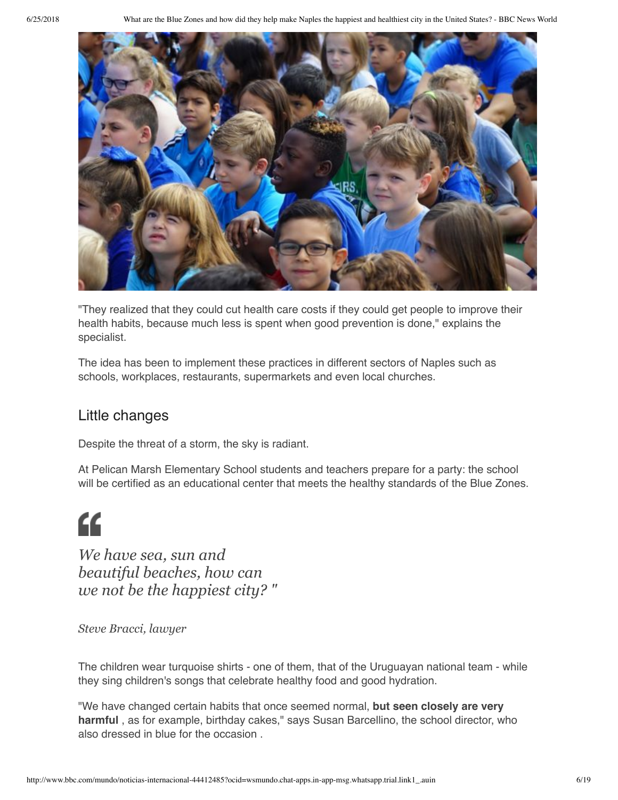

"They realized that they could cut health care costs if they could get people to improve their health habits, because much less is spent when good prevention is done," explains the specialist.

The idea has been to implement these practices in different sectors of Naples such as schools, workplaces, restaurants, supermarkets and even local churches.

#### Little changes

Despite the threat of a storm, the sky is radiant.

At Pelican Marsh Elementary School students and teachers prepare for a party: the school will be certified as an educational center that meets the healthy standards of the Blue Zones.

# "

*We have sea, sun and beautiful beaches, how can we not be the happiest city? "*

*Steve Bracci, lawyer*

The children wear turquoise shirts - one of them, that of the Uruguayan national team - while they sing children's songs that celebrate healthy food and good hydration.

"We have changed certain habits that once seemed normal, **but seen closely are very harmful** , as for example, birthday cakes," says Susan Barcellino, the school director, who also dressed in blue for the occasion .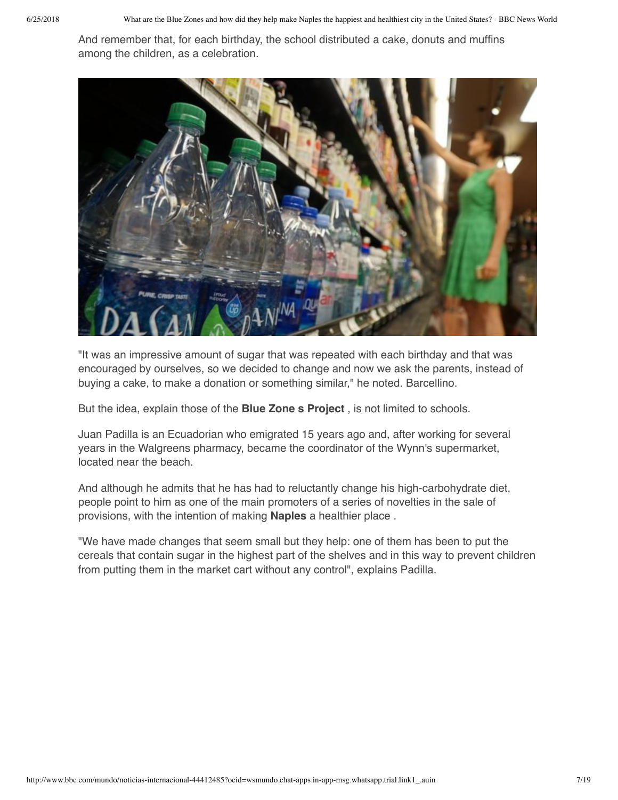And remember that, for each birthday, the school distributed a cake, donuts and muffins among the children, as a celebration.



"It was an impressive amount of sugar that was repeated with each birthday and that was encouraged by ourselves, so we decided to change and now we ask the parents, instead of buying a cake, to make a donation or something similar," he noted. Barcellino.

But the idea, explain those of the **Blue Zone s Project** , is not limited to schools.

Juan Padilla is an Ecuadorian who emigrated 15 years ago and, after working for several years in the Walgreens pharmacy, became the coordinator of the Wynn's supermarket, located near the beach.

And although he admits that he has had to reluctantly change his high-carbohydrate diet, people point to him as one of the main promoters of a series of novelties in the sale of provisions, with the intention of making **Naples** a healthier place .

"We have made changes that seem small but they help: one of them has been to put the cereals that contain sugar in the highest part of the shelves and in this way to prevent children from putting them in the market cart without any control", explains Padilla.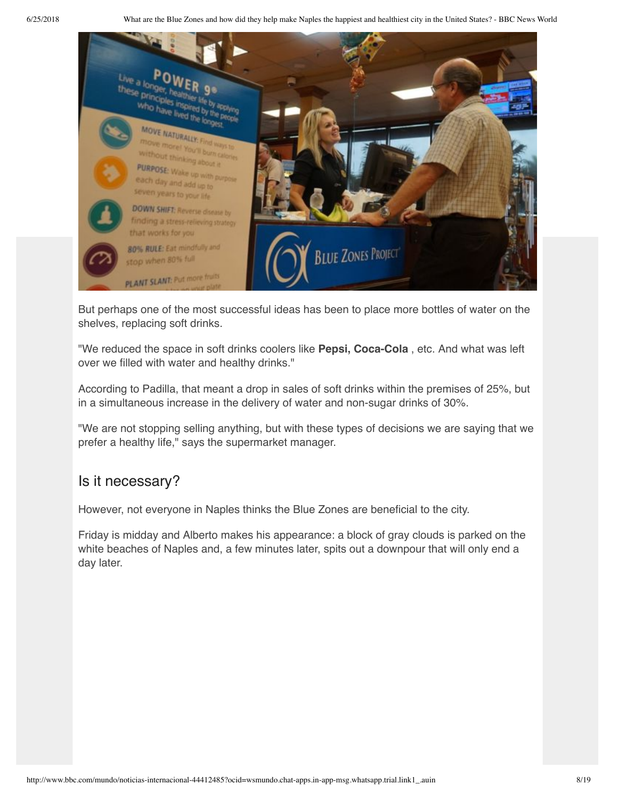

But perhaps one of the most successful ideas has been to place more bottles of water on the shelves, replacing soft drinks.

"We reduced the space in soft drinks coolers like **Pepsi, Coca-Cola** , etc. And what was left over we filled with water and healthy drinks."

According to Padilla, that meant a drop in sales of soft drinks within the premises of 25%, but in a simultaneous increase in the delivery of water and non-sugar drinks of 30%.

"We are not stopping selling anything, but with these types of decisions we are saying that we prefer a healthy life," says the supermarket manager.

#### Is it necessary?

However, not everyone in Naples thinks the Blue Zones are beneficial to the city.

Friday is midday and Alberto makes his appearance: a block of gray clouds is parked on the white beaches of Naples and, a few minutes later, spits out a downpour that will only end a day later.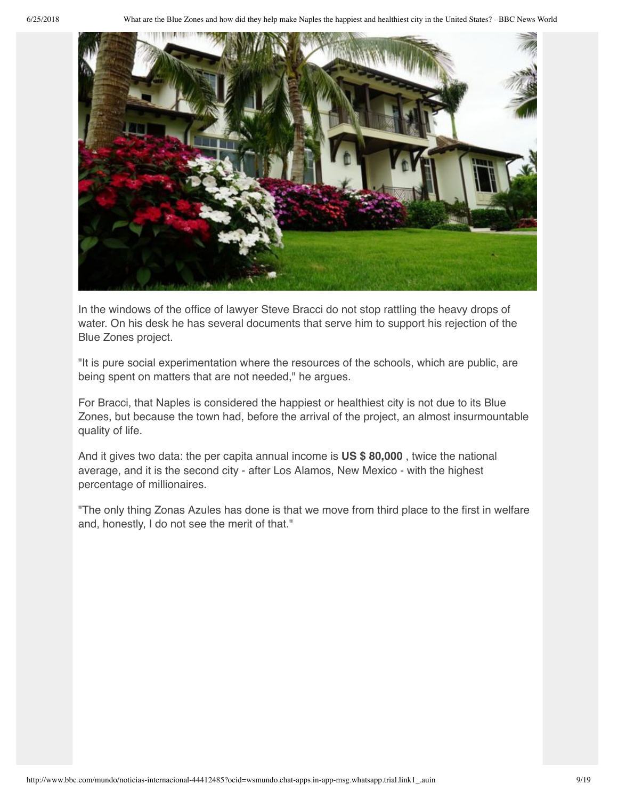

In the windows of the office of lawyer Steve Bracci do not stop rattling the heavy drops of water. On his desk he has several documents that serve him to support his rejection of the Blue Zones project.

"It is pure social experimentation where the resources of the schools, which are public, are being spent on matters that are not needed," he argues.

For Bracci, that Naples is considered the happiest or healthiest city is not due to its Blue Zones, but because the town had, before the arrival of the project, an almost insurmountable quality of life.

And it gives two data: the per capita annual income is **US \$ 80,000** , twice the national average, and it is the second city - after Los Alamos, New Mexico - with the highest percentage of millionaires.

"The only thing Zonas Azules has done is that we move from third place to the first in welfare and, honestly, I do not see the merit of that."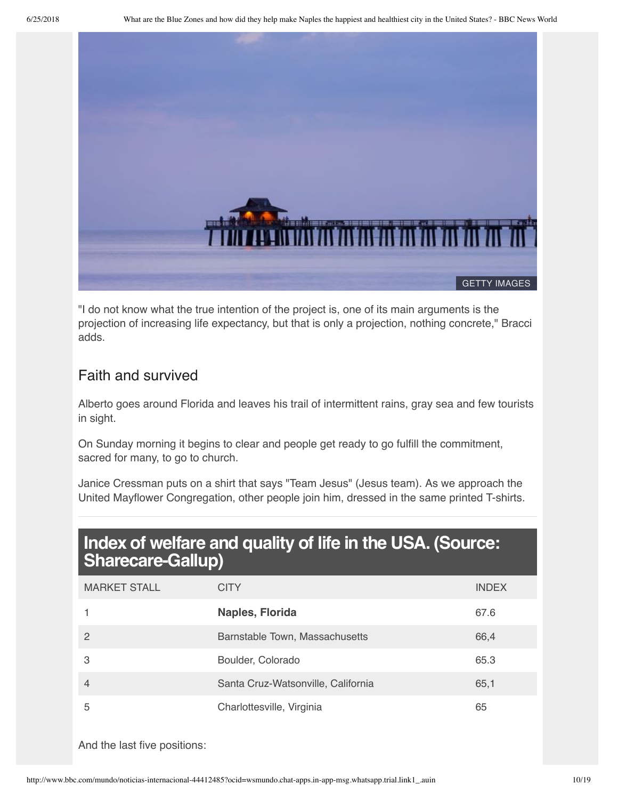

"I do not know what the true intention of the project is, one of its main arguments is the projection of increasing life expectancy, but that is only a projection, nothing concrete," Bracci adds.

#### Faith and survived

Alberto goes around Florida and leaves his trail of intermittent rains, gray sea and few tourists in sight.

On Sunday morning it begins to clear and people get ready to go fulfill the commitment, sacred for many, to go to church.

Janice Cressman puts on a shirt that says "Team Jesus" (Jesus team). As we approach the United Mayflower Congregation, other people join him, dressed in the same printed T-shirts.

## **Index of welfare and quality of life in the USA. (Source: Sharecare-Gallup)**

| <b>MARKET STALL</b> | <b>CITY</b>                        | <b>INDEX</b> |
|---------------------|------------------------------------|--------------|
|                     | Naples, Florida                    | 67.6         |
| 2                   | Barnstable Town, Massachusetts     | 66,4         |
| 3                   | Boulder, Colorado                  | 65.3         |
| $\overline{4}$      | Santa Cruz-Watsonville, California | 65,1         |
| 5                   | Charlottesville, Virginia          | 65           |

And the last five positions: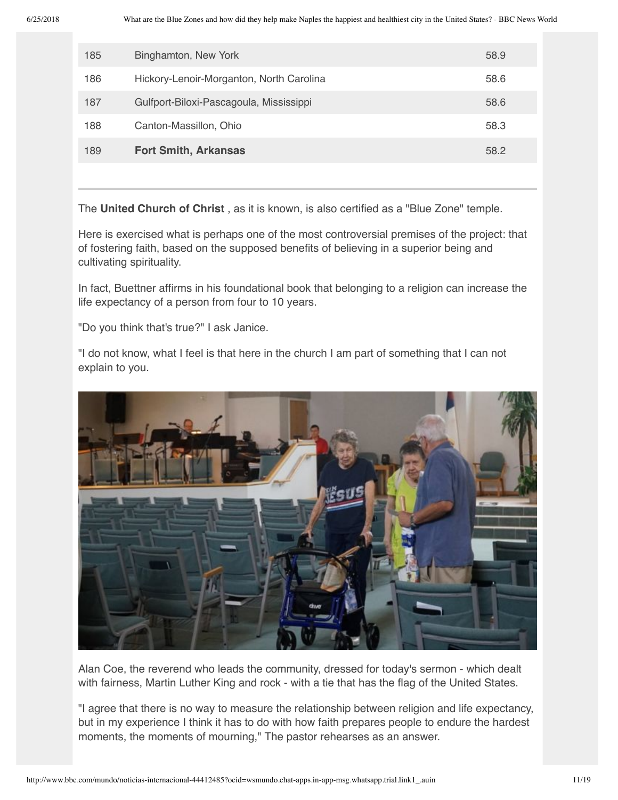| 185 | Binghamton, New York                     | 58.9 |
|-----|------------------------------------------|------|
| 186 | Hickory-Lenoir-Morganton, North Carolina | 58.6 |
| 187 | Gulfport-Biloxi-Pascagoula, Mississippi  | 58.6 |
| 188 | Canton-Massillon, Ohio                   | 58.3 |
| 189 | <b>Fort Smith, Arkansas</b>              | 58.2 |

The **United Church of Christ** , as it is known, is also certified as a "Blue Zone" temple.

Here is exercised what is perhaps one of the most controversial premises of the project: that of fostering faith, based on the supposed benefits of believing in a superior being and cultivating spirituality.

In fact, Buettner affirms in his foundational book that belonging to a religion can increase the life expectancy of a person from four to 10 years.

"Do you think that's true?" I ask Janice.

"I do not know, what I feel is that here in the church I am part of something that I can not explain to you.



Alan Coe, the reverend who leads the community, dressed for today's sermon - which dealt with fairness, Martin Luther King and rock - with a tie that has the flag of the United States.

"I agree that there is no way to measure the relationship between religion and life expectancy, but in my experience I think it has to do with how faith prepares people to endure the hardest moments, the moments of mourning," The pastor rehearses as an answer.